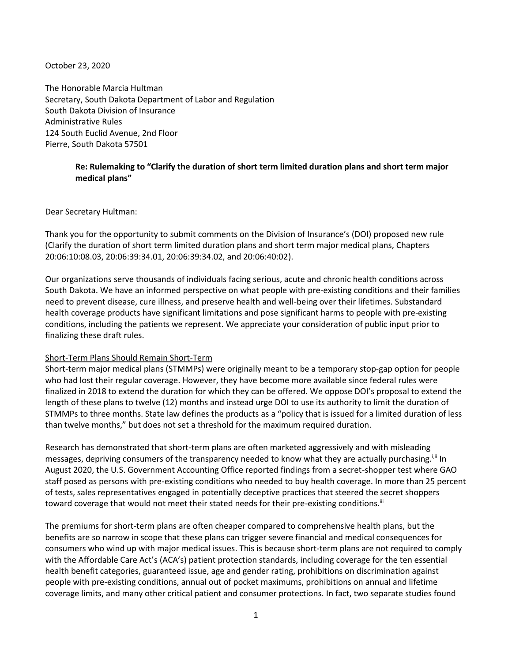October 23, 2020

The Honorable Marcia Hultman Secretary, South Dakota Department of Labor and Regulation South Dakota Division of Insurance Administrative Rules 124 South Euclid Avenue, 2nd Floor Pierre, South Dakota 57501

## **Re: Rulemaking to "Clarify the duration of short term limited duration plans and short term major medical plans"**

Dear Secretary Hultman:

Thank you for the opportunity to submit comments on the Division of Insurance's (DOI) proposed new rule (Clarify the duration of short term limited duration plans and short term major medical plans, Chapters 20:06:10:08.03, 20:06:39:34.01, 20:06:39:34.02, and 20:06:40:02).

Our organizations serve thousands of individuals facing serious, acute and chronic health conditions across South Dakota. We have an informed perspective on what people with pre-existing conditions and their families need to prevent disease, cure illness, and preserve health and well-being over their lifetimes. Substandard health coverage products have significant limitations and pose significant harms to people with pre-existing conditions, including the patients we represent. We appreciate your consideration of public input prior to finalizing these draft rules.

## Short-Term Plans Should Remain Short-Term

Short-term major medical plans (STMMPs) were originally meant to be a temporary stop-gap option for people who had lost their regular coverage. However, they have become more available since federal rules were finalized in 2018 to extend the duration for which they can be offered. We oppose DOI's proposal to extend the length of these plans to twelve (12) months and instead urge DOI to use its authority to limit the duration of STMMPs to three months. State law defines the products as a "policy that is issued for a limited duration of less than twelve months," but does not set a threshold for the maximum required duration.

Research has demonstrated that short-term plans are often marketed aggressively and with misleading messages, depriving consumers of the transparency needed to know what they are actually purchasing.<sup>i,ii</sup> In August 2020, the U.S. Government Accounting Office reported findings from a secret-shopper test where GAO staff posed as persons with pre-existing conditions who needed to buy health coverage. In more than 25 percent of tests, sales representatives engaged in potentially deceptive practices that steered the secret shoppers toward coverage that would not meet their stated needs for their pre-existing conditions.<sup>iii</sup>

The premiums for short-term plans are often cheaper compared to comprehensive health plans, but the benefits are so narrow in scope that these plans can trigger severe financial and medical consequences for consumers who wind up with major medical issues. This is because short-term plans are not required to comply with the Affordable Care Act's (ACA's) patient protection standards, including coverage for the ten essential health benefit categories, guaranteed issue, age and gender rating, prohibitions on discrimination against people with pre-existing conditions, annual out of pocket maximums, prohibitions on annual and lifetime coverage limits, and many other critical patient and consumer protections. In fact, two separate studies found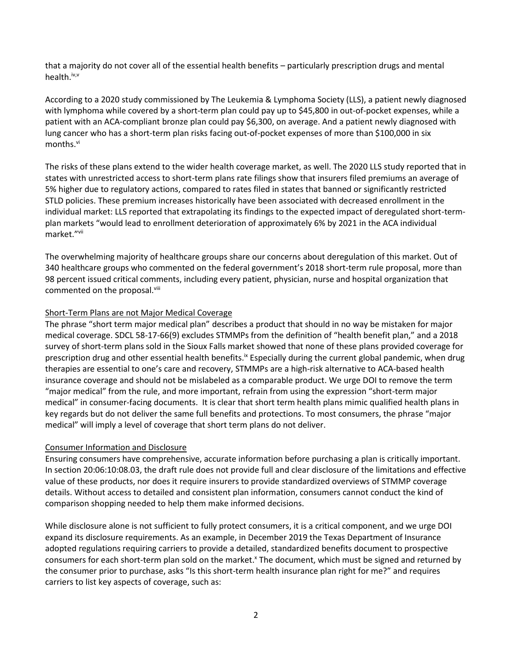that a majority do not cover all of the essential health benefits – particularly prescription drugs and mental health.<sup>iv,v</sup>

According to a 2020 study commissioned by The Leukemia & Lymphoma Society (LLS), a patient newly diagnosed with lymphoma while covered by a short-term plan could pay up to \$45,800 in out-of-pocket expenses, while a patient with an ACA-compliant bronze plan could pay \$6,300, on average. And a patient newly diagnosed with lung cancer who has a short-term plan risks facing out-of-pocket expenses of more than \$100,000 in six months.<sup>vi</sup>

The risks of these plans extend to the wider health coverage market, as well. The 2020 LLS study reported that in states with unrestricted access to short-term plans rate filings show that insurers filed premiums an average of 5% higher due to regulatory actions, compared to rates filed in states that banned or significantly restricted STLD policies. These premium increases historically have been associated with decreased enrollment in the individual market: LLS reported that extrapolating its findings to the expected impact of deregulated short-termplan markets "would lead to enrollment deterioration of approximately 6% by 2021 in the ACA individual market."vii

The overwhelming majority of healthcare groups share our concerns about deregulation of this market. Out of 340 healthcare groups who commented on the federal government's 2018 short-term rule proposal, more than 98 percent issued critical comments, including every patient, physician, nurse and hospital organization that commented on the proposal.<sup>viii</sup>

## Short-Term Plans are not Major Medical Coverage

The phrase "short term major medical plan" describes a product that should in no way be mistaken for major medical coverage. SDCL 58-17-66(9) excludes STMMPs from the definition of "health benefit plan," and a 2018 survey of short-term plans sold in the Sioux Falls market showed that none of these plans provided coverage for prescription drug and other essential health benefits.<sup>ix</sup> Especially during the current global pandemic, when drug therapies are essential to one's care and recovery, STMMPs are a high-risk alternative to ACA-based health insurance coverage and should not be mislabeled as a comparable product. We urge DOI to remove the term "major medical" from the rule, and more important, refrain from using the expression "short-term major medical" in consumer-facing documents. It is clear that short term health plans mimic qualified health plans in key regards but do not deliver the same full benefits and protections. To most consumers, the phrase "major medical" will imply a level of coverage that short term plans do not deliver.

## Consumer Information and Disclosure

Ensuring consumers have comprehensive, accurate information before purchasing a plan is critically important. In section 20:06:10:08.03, the draft rule does not provide full and clear disclosure of the limitations and effective value of these products, nor does it require insurers to provide standardized overviews of STMMP coverage details. Without access to detailed and consistent plan information, consumers cannot conduct the kind of comparison shopping needed to help them make informed decisions.

While disclosure alone is not sufficient to fully protect consumers, it is a critical component, and we urge DOI expand its disclosure requirements. As an example, in December 2019 the Texas Department of Insurance adopted regulations requiring carriers to provide a detailed, standardized benefits document to prospective consumers for each short-term plan sold on the market.<sup>x</sup> The document, which must be signed and returned by the consumer prior to purchase, asks "Is this short-term health insurance plan right for me?" and requires carriers to list key aspects of coverage, such as: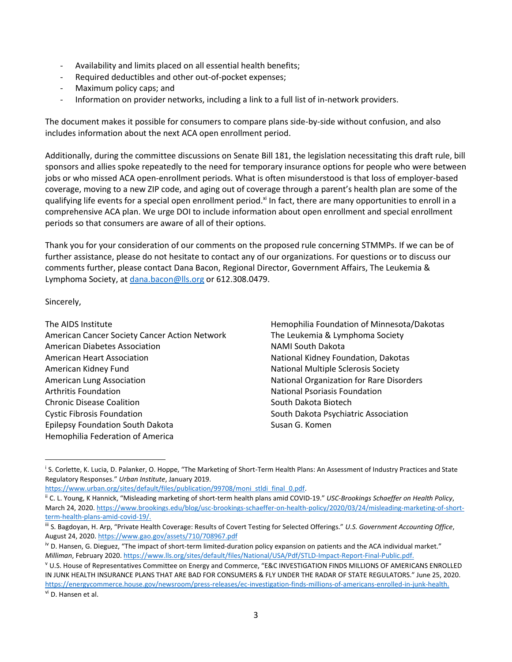- Availability and limits placed on all essential health benefits;
- Required deductibles and other out-of-pocket expenses;
- Maximum policy caps; and
- Information on provider networks, including a link to a full list of in-network providers.

The document makes it possible for consumers to compare plans side-by-side without confusion, and also includes information about the next ACA open enrollment period.

Additionally, during the committee discussions on Senate Bill 181, the legislation necessitating this draft rule, bill sponsors and allies spoke repeatedly to the need for temporary insurance options for people who were between jobs or who missed ACA open-enrollment periods. What is often misunderstood is that loss of employer-based coverage, moving to a new ZIP code, and aging out of coverage through a parent's health plan are some of the qualifying life events for a special open enrollment period.<sup>xi</sup> In fact, there are many opportunities to enroll in a comprehensive ACA plan. We urge DOI to include information about open enrollment and special enrollment periods so that consumers are aware of all of their options.

Thank you for your consideration of our comments on the proposed rule concerning STMMPs. If we can be of further assistance, please do not hesitate to contact any of our organizations. For questions or to discuss our comments further, please contact Dana Bacon, Regional Director, Government Affairs, The Leukemia & Lymphoma Society, at [dana.bacon@lls.org](mailto:dana.bacon@lls.org) or 612.308.0479.

Sincerely,

l

The AIDS Institute American Cancer Society Cancer Action Network American Diabetes Association American Heart Association American Kidney Fund American Lung Association Arthritis Foundation Chronic Disease Coalition Cystic Fibrosis Foundation Epilepsy Foundation South Dakota Hemophilia Federation of America

Hemophilia Foundation of Minnesota/Dakotas The Leukemia & Lymphoma Society NAMI South Dakota National Kidney Foundation, Dakotas National Multiple Sclerosis Society National Organization for Rare Disorders National Psoriasis Foundation South Dakota Biotech South Dakota Psychiatric Association Susan G. Komen

[https://www.urban.org/sites/default/files/publication/99708/moni\\_stldi\\_final\\_0.pdf.](https://www.urban.org/sites/default/files/publication/99708/moni_stldi_final_0.pdf)

i S. Corlette, K. Lucia, D. Palanker, O. Hoppe, "The Marketing of Short-Term Health Plans: An Assessment of Industry Practices and State Regulatory Responses." *Urban Institute*, January 2019.

ii C. L. Young, K Hannick, "Misleading marketing of short-term health plans amid COVID-19." *USC-Brookings Schaeffer on Health Policy*, March 24, 2020[. https://www.brookings.edu/blog/usc-brookings-schaeffer-on-health-policy/2020/03/24/misleading-marketing-of-short](https://www.brookings.edu/blog/usc-brookings-schaeffer-on-health-policy/2020/03/24/misleading-marketing-of-short-term-health-plans-amid-covid-19/)[term-health-plans-amid-covid-19/.](https://www.brookings.edu/blog/usc-brookings-schaeffer-on-health-policy/2020/03/24/misleading-marketing-of-short-term-health-plans-amid-covid-19/)

iii S. Bagdoyan, H. Arp, "Private Health Coverage: Results of Covert Testing for Selected Offerings." *U.S. Government Accounting Office*, August 24, 2020[. https://www.gao.gov/assets/710/708967.pdf](https://www.gao.gov/assets/710/708967.pdf)

iv D. Hansen, G. Dieguez, "The impact of short-term limited-duration policy expansion on patients and the ACA individual market." *Milliman*, February 2020. [https://www.lls.org/sites/default/files/National/USA/Pdf/STLD-Impact-Report-Final-Public.pdf.](https://www.lls.org/sites/default/files/National/USA/Pdf/STLD-Impact-Report-Final-Public.pdf)

<sup>v</sup> U.S. House of Representatives Committee on Energy and Commerce, "E&C INVESTIGATION FINDS MILLIONS OF AMERICANS ENROLLED IN JUNK HEALTH INSURANCE PLANS THAT ARE BAD FOR CONSUMERS & FLY UNDER THE RADAR OF STATE REGULATORS." June 25, 2020. [https://energycommerce.house.gov/newsroom/press-releases/ec-investigation-finds-millions-of-americans-enrolled-in-junk-health.](https://energycommerce.house.gov/newsroom/press-releases/ec-investigation-finds-millions-of-americans-enrolled-in-junk-health) <sup>vi</sup> D. Hansen et al.